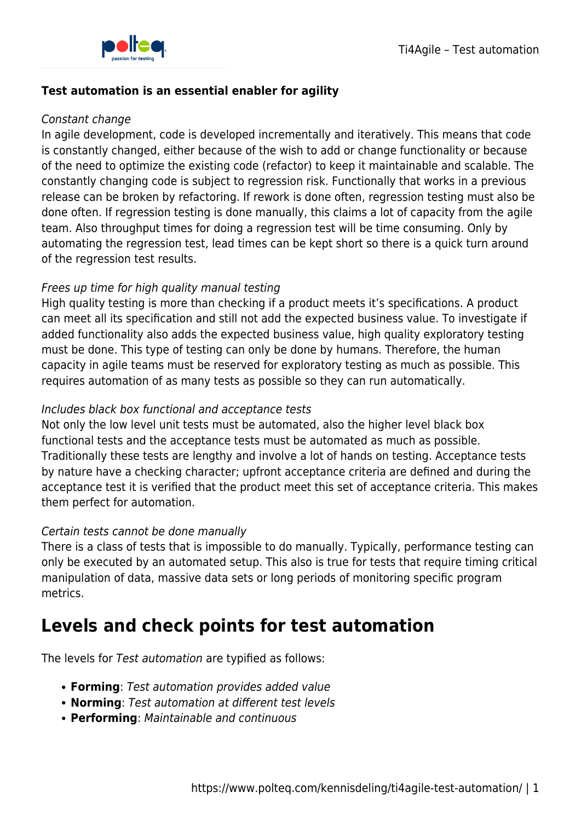

#### **Test automation is an essential enabler for agility**

#### Constant change

In agile development, code is developed incrementally and iteratively. This means that code is constantly changed, either because of the wish to add or change functionality or because of the need to optimize the existing code (refactor) to keep it maintainable and scalable. The constantly changing code is subject to regression risk. Functionally that works in a previous release can be broken by refactoring. If rework is done often, regression testing must also be done often. If regression testing is done manually, this claims a lot of capacity from the agile team. Also throughput times for doing a regression test will be time consuming. Only by automating the regression test, lead times can be kept short so there is a quick turn around of the regression test results.

## Frees up time for high quality manual testing

High quality testing is more than checking if a product meets it's specifications. A product can meet all its specification and still not add the expected business value. To investigate if added functionality also adds the expected business value, high quality exploratory testing must be done. This type of testing can only be done by humans. Therefore, the human capacity in agile teams must be reserved for exploratory testing as much as possible. This requires automation of as many tests as possible so they can run automatically.

## Includes black box functional and acceptance tests

Not only the low level unit tests must be automated, also the higher level black box functional tests and the acceptance tests must be automated as much as possible. Traditionally these tests are lengthy and involve a lot of hands on testing. Acceptance tests by nature have a checking character; upfront acceptance criteria are defined and during the acceptance test it is verified that the product meet this set of acceptance criteria. This makes them perfect for automation.

## Certain tests cannot be done manually

There is a class of tests that is impossible to do manually. Typically, performance testing can only be executed by an automated setup. This also is true for tests that require timing critical manipulation of data, massive data sets or long periods of monitoring specific program metrics.

# **Levels and check points for test automation**

The levels for Test automation are typified as follows:

- **Forming**: Test automation provides added value
- **Norming**: Test automation at different test levels
- **Performing**: Maintainable and continuous